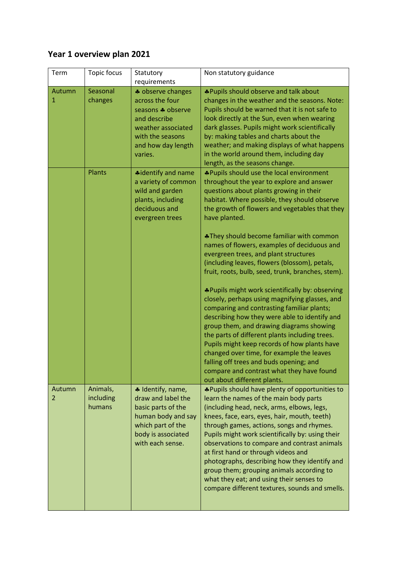## **Year 1 overview plan 2021**

| Term        | Topic focus                     | Statutory                                                                                                                                            | Non statutory guidance                                                                                                                                                                                                                                                                                                                                                                                                                                                                                                                                                     |
|-------------|---------------------------------|------------------------------------------------------------------------------------------------------------------------------------------------------|----------------------------------------------------------------------------------------------------------------------------------------------------------------------------------------------------------------------------------------------------------------------------------------------------------------------------------------------------------------------------------------------------------------------------------------------------------------------------------------------------------------------------------------------------------------------------|
|             |                                 | requirements                                                                                                                                         |                                                                                                                                                                                                                                                                                                                                                                                                                                                                                                                                                                            |
| Autumn<br>1 | Seasonal<br>changes             | * observe changes<br>across the four<br>seasons * observe<br>and describe<br>weather associated<br>with the seasons<br>and how day length<br>varies. | *Pupils should observe and talk about<br>changes in the weather and the seasons. Note:<br>Pupils should be warned that it is not safe to<br>look directly at the Sun, even when wearing<br>dark glasses. Pupils might work scientifically<br>by: making tables and charts about the<br>weather; and making displays of what happens<br>in the world around them, including day<br>length, as the seasons change.                                                                                                                                                           |
|             | <b>Plants</b>                   | <b>*</b> identify and name<br>a variety of common<br>wild and garden<br>plants, including<br>deciduous and<br>evergreen trees                        | *Pupils should use the local environment<br>throughout the year to explore and answer<br>questions about plants growing in their<br>habitat. Where possible, they should observe<br>the growth of flowers and vegetables that they<br>have planted.<br>*They should become familiar with common<br>names of flowers, examples of deciduous and                                                                                                                                                                                                                             |
|             |                                 |                                                                                                                                                      | evergreen trees, and plant structures<br>(including leaves, flowers (blossom), petals,<br>fruit, roots, bulb, seed, trunk, branches, stem).<br>*Pupils might work scientifically by: observing                                                                                                                                                                                                                                                                                                                                                                             |
|             |                                 |                                                                                                                                                      | closely, perhaps using magnifying glasses, and<br>comparing and contrasting familiar plants;<br>describing how they were able to identify and<br>group them, and drawing diagrams showing<br>the parts of different plants including trees.<br>Pupils might keep records of how plants have<br>changed over time, for example the leaves<br>falling off trees and buds opening; and<br>compare and contrast what they have found<br>out about different plants.                                                                                                            |
| Autumn<br>2 | Animals,<br>including<br>humans | * Identify, name,<br>draw and label the<br>basic parts of the<br>human body and say<br>which part of the<br>body is associated<br>with each sense.   | *Pupils should have plenty of opportunities to<br>learn the names of the main body parts<br>(including head, neck, arms, elbows, legs,<br>knees, face, ears, eyes, hair, mouth, teeth)<br>through games, actions, songs and rhymes.<br>Pupils might work scientifically by: using their<br>observations to compare and contrast animals<br>at first hand or through videos and<br>photographs, describing how they identify and<br>group them; grouping animals according to<br>what they eat; and using their senses to<br>compare different textures, sounds and smells. |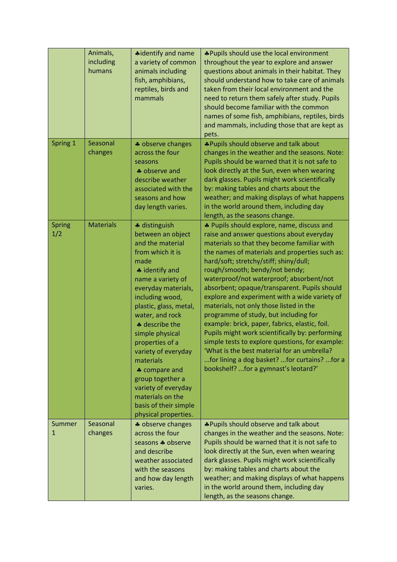|               | Animals,<br>including<br>humans | *identify and name<br>a variety of common<br>animals including<br>fish, amphibians,<br>reptiles, birds and<br>mammals                                                                                                                                                                                                                                                                                                                         | *Pupils should use the local environment<br>throughout the year to explore and answer<br>questions about animals in their habitat. They<br>should understand how to take care of animals<br>taken from their local environment and the<br>need to return them safely after study. Pupils<br>should become familiar with the common<br>names of some fish, amphibians, reptiles, birds<br>and mammals, including those that are kept as<br>pets.                                                                                                                                                                                                                                                                                                                                                      |
|---------------|---------------------------------|-----------------------------------------------------------------------------------------------------------------------------------------------------------------------------------------------------------------------------------------------------------------------------------------------------------------------------------------------------------------------------------------------------------------------------------------------|------------------------------------------------------------------------------------------------------------------------------------------------------------------------------------------------------------------------------------------------------------------------------------------------------------------------------------------------------------------------------------------------------------------------------------------------------------------------------------------------------------------------------------------------------------------------------------------------------------------------------------------------------------------------------------------------------------------------------------------------------------------------------------------------------|
| Spring 1      | Seasonal<br>changes             | * observe changes<br>across the four<br>seasons<br>♣ observe and<br>describe weather<br>associated with the<br>seasons and how<br>day length varies.                                                                                                                                                                                                                                                                                          | *Pupils should observe and talk about<br>changes in the weather and the seasons. Note:<br>Pupils should be warned that it is not safe to<br>look directly at the Sun, even when wearing<br>dark glasses. Pupils might work scientifically<br>by: making tables and charts about the<br>weather; and making displays of what happens<br>in the world around them, including day<br>length, as the seasons change.                                                                                                                                                                                                                                                                                                                                                                                     |
| Spring<br>1/2 | <b>Materials</b>                | * distinguish<br>between an object<br>and the material<br>from which it is<br>made<br>* identify and<br>name a variety of<br>everyday materials,<br>including wood,<br>plastic, glass, metal,<br>water, and rock<br>* describe the<br>simple physical<br>properties of a<br>variety of everyday<br>materials<br>♣ compare and<br>group together a<br>variety of everyday<br>materials on the<br>basis of their simple<br>physical properties. | * Pupils should explore, name, discuss and<br>raise and answer questions about everyday<br>materials so that they become familiar with<br>the names of materials and properties such as:<br>hard/soft; stretchy/stiff; shiny/dull;<br>rough/smooth; bendy/not bendy;<br>waterproof/not waterproof; absorbent/not<br>absorbent; opaque/transparent. Pupils should<br>explore and experiment with a wide variety of<br>materials, not only those listed in the<br>programme of study, but including for<br>example: brick, paper, fabrics, elastic, foil.<br>Pupils might work scientifically by: performing<br>simple tests to explore questions, for example:<br>'What is the best material for an umbrella?<br>for lining a dog basket? for curtains? for a<br>bookshelf? for a gymnast's leotard?' |
| Summer<br>1   | Seasonal<br>changes             | * observe changes<br>across the four<br>seasons * observe<br>and describe<br>weather associated<br>with the seasons<br>and how day length<br>varies.                                                                                                                                                                                                                                                                                          | *Pupils should observe and talk about<br>changes in the weather and the seasons. Note:<br>Pupils should be warned that it is not safe to<br>look directly at the Sun, even when wearing<br>dark glasses. Pupils might work scientifically<br>by: making tables and charts about the<br>weather; and making displays of what happens<br>in the world around them, including day<br>length, as the seasons change.                                                                                                                                                                                                                                                                                                                                                                                     |